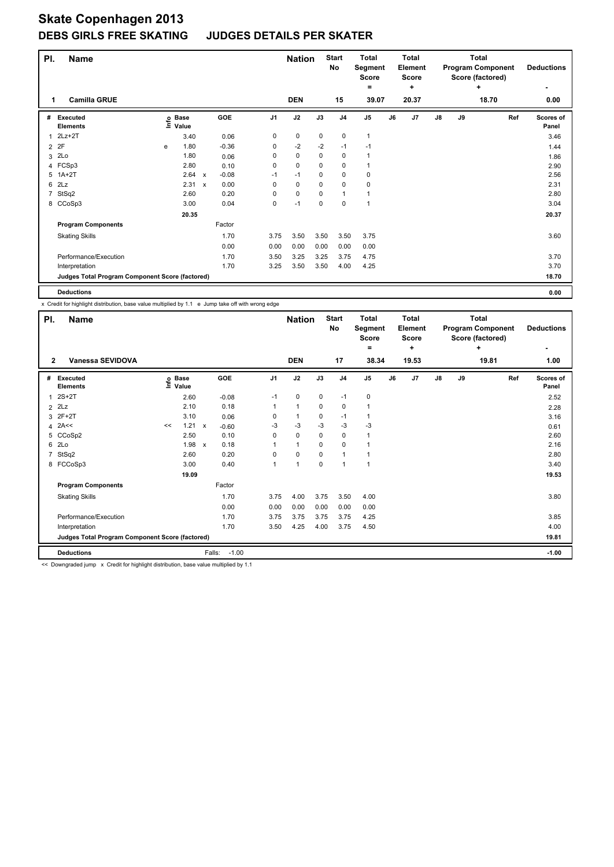| PI.            | <b>Name</b>                                     |   |                            |                           |            |                | <b>Nation</b> |             | <b>Start</b><br>No | <b>Total</b><br>Segment<br><b>Score</b><br>$\equiv$ |    | <b>Total</b><br><b>Element</b><br><b>Score</b><br>٠ |               |    | <b>Total</b><br><b>Program Component</b><br>Score (factored)<br>٠ | <b>Deductions</b>  |
|----------------|-------------------------------------------------|---|----------------------------|---------------------------|------------|----------------|---------------|-------------|--------------------|-----------------------------------------------------|----|-----------------------------------------------------|---------------|----|-------------------------------------------------------------------|--------------------|
| 1              | <b>Camilla GRUE</b>                             |   |                            |                           |            |                | <b>DEN</b>    |             | 15                 | 39.07                                               |    | 20.37                                               |               |    | 18.70                                                             | 0.00               |
| #              | <b>Executed</b><br><b>Elements</b>              |   | e Base<br>⊑ Value<br>Value |                           | <b>GOE</b> | J <sub>1</sub> | J2            | J3          | J <sub>4</sub>     | J <sub>5</sub>                                      | J6 | J7                                                  | $\mathsf{J}8$ | J9 | Ref                                                               | Scores of<br>Panel |
| 1              | $2Lz+2T$                                        |   | 3.40                       |                           | 0.06       | 0              | 0             | 0           | 0                  | 1                                                   |    |                                                     |               |    |                                                                   | 3.46               |
| $\overline{2}$ | 2F                                              | e | 1.80                       |                           | $-0.36$    | 0              | $-2$          | $-2$        | $-1$               | $-1$                                                |    |                                                     |               |    |                                                                   | 1.44               |
| 3              | 2Lo                                             |   | 1.80                       |                           | 0.06       | 0              | $\mathbf 0$   | 0           | $\mathbf 0$        | 1                                                   |    |                                                     |               |    |                                                                   | 1.86               |
|                | 4 FCSp3                                         |   | 2.80                       |                           | 0.10       | 0              | $\mathbf 0$   | 0           | $\mathbf 0$        | 1                                                   |    |                                                     |               |    |                                                                   | 2.90               |
|                | 5 1A+2T                                         |   | 2.64                       | $\boldsymbol{\mathsf{x}}$ | $-0.08$    | $-1$           | $-1$          | 0           | 0                  | 0                                                   |    |                                                     |               |    |                                                                   | 2.56               |
| 6              | 2Lz                                             |   | 2.31                       | $\boldsymbol{\mathsf{x}}$ | 0.00       | 0              | $\mathbf 0$   | 0           | $\mathbf 0$        | 0                                                   |    |                                                     |               |    |                                                                   | 2.31               |
|                | StSq2                                           |   | 2.60                       |                           | 0.20       | 0              | 0             | 0           | $\mathbf{1}$       | 1                                                   |    |                                                     |               |    |                                                                   | 2.80               |
|                | 8 CCoSp3                                        |   | 3.00                       |                           | 0.04       | 0              | -1            | $\mathbf 0$ | $\mathbf 0$        | $\mathbf{1}$                                        |    |                                                     |               |    |                                                                   | 3.04               |
|                |                                                 |   | 20.35                      |                           |            |                |               |             |                    |                                                     |    |                                                     |               |    |                                                                   | 20.37              |
|                | <b>Program Components</b>                       |   |                            |                           | Factor     |                |               |             |                    |                                                     |    |                                                     |               |    |                                                                   |                    |
|                | <b>Skating Skills</b>                           |   |                            |                           | 1.70       | 3.75           | 3.50          | 3.50        | 3.50               | 3.75                                                |    |                                                     |               |    |                                                                   | 3.60               |
|                |                                                 |   |                            |                           | 0.00       | 0.00           | 0.00          | 0.00        | 0.00               | 0.00                                                |    |                                                     |               |    |                                                                   |                    |
|                | Performance/Execution                           |   |                            |                           | 1.70       | 3.50           | 3.25          | 3.25        | 3.75               | 4.75                                                |    |                                                     |               |    |                                                                   | 3.70               |
|                | Interpretation                                  |   |                            |                           | 1.70       | 3.25           | 3.50          | 3.50        | 4.00               | 4.25                                                |    |                                                     |               |    |                                                                   | 3.70               |
|                | Judges Total Program Component Score (factored) |   |                            |                           |            |                |               |             |                    |                                                     |    |                                                     |               |    |                                                                   | 18.70              |
|                | <b>Deductions</b>                               |   |                            |                           |            |                |               |             |                    |                                                     |    |                                                     |               |    |                                                                   | 0.00               |

x Credit for highlight distribution, base value multiplied by 1.1 e Jump take off with wrong edge

| PI. | <b>Name</b>                                     |    |                   |                           |            |                | <b>Nation</b>  |             | <b>Start</b><br>No      | <b>Total</b><br>Segment<br>Score<br>= |    | Total<br>Element<br><b>Score</b><br>٠ |    |    | Total<br><b>Program Component</b><br>Score (factored)<br>÷ | <b>Deductions</b>         |
|-----|-------------------------------------------------|----|-------------------|---------------------------|------------|----------------|----------------|-------------|-------------------------|---------------------------------------|----|---------------------------------------|----|----|------------------------------------------------------------|---------------------------|
| 2   | Vanessa SEVIDOVA                                |    |                   |                           |            |                | <b>DEN</b>     |             | 17                      | 38.34                                 |    | 19.53                                 |    |    | 19.81                                                      | 1.00                      |
| #   | <b>Executed</b><br><b>Elements</b>              |    | e Base<br>⊆ Value |                           | <b>GOE</b> | J <sub>1</sub> | J2             | J3          | J <sub>4</sub>          | J <sub>5</sub>                        | J6 | J <sub>7</sub>                        | J8 | J9 | Ref                                                        | <b>Scores of</b><br>Panel |
| 1   | $2S+2T$                                         |    | 2.60              |                           | $-0.08$    | $-1$           | 0              | 0           | $-1$                    | 0                                     |    |                                       |    |    |                                                            | 2.52                      |
|     | $2$ $2Lz$                                       |    | 2.10              |                           | 0.18       |                | $\mathbf{1}$   | 0           | $\mathbf 0$             | 1                                     |    |                                       |    |    |                                                            | 2.28                      |
| 3   | $2F+2T$                                         |    | 3.10              |                           | 0.06       | 0              | $\mathbf{1}$   | 0           | $-1$                    | 1                                     |    |                                       |    |    |                                                            | 3.16                      |
|     | $4$ 2A <<                                       | << | 1.21              | $\mathsf{x}$              | $-0.60$    | -3             | $-3$           | $-3$        | $-3$                    | $-3$                                  |    |                                       |    |    |                                                            | 0.61                      |
| 5   | CCoSp2                                          |    | 2.50              |                           | 0.10       | 0              | $\mathbf 0$    | $\Omega$    | $\mathbf 0$             | 1                                     |    |                                       |    |    |                                                            | 2.60                      |
|     | 6 2Lo                                           |    | 1.98              | $\boldsymbol{\mathsf{x}}$ | 0.18       |                | $\overline{1}$ | 0           | 0                       |                                       |    |                                       |    |    |                                                            | 2.16                      |
| 7   | StSq2                                           |    | 2.60              |                           | 0.20       | $\Omega$       | 0              | $\Omega$    | $\overline{1}$          |                                       |    |                                       |    |    |                                                            | 2.80                      |
|     | 8 FCCoSp3                                       |    | 3.00              |                           | 0.40       | 1              | 1              | $\mathbf 0$ | $\overline{\mathbf{1}}$ |                                       |    |                                       |    |    |                                                            | 3.40                      |
|     |                                                 |    | 19.09             |                           |            |                |                |             |                         |                                       |    |                                       |    |    |                                                            | 19.53                     |
|     | <b>Program Components</b>                       |    |                   |                           | Factor     |                |                |             |                         |                                       |    |                                       |    |    |                                                            |                           |
|     | <b>Skating Skills</b>                           |    |                   |                           | 1.70       | 3.75           | 4.00           | 3.75        | 3.50                    | 4.00                                  |    |                                       |    |    |                                                            | 3.80                      |
|     |                                                 |    |                   |                           | 0.00       | 0.00           | 0.00           | 0.00        | 0.00                    | 0.00                                  |    |                                       |    |    |                                                            |                           |
|     | Performance/Execution                           |    |                   |                           | 1.70       | 3.75           | 3.75           | 3.75        | 3.75                    | 4.25                                  |    |                                       |    |    |                                                            | 3.85                      |
|     | Interpretation                                  |    |                   |                           | 1.70       | 3.50           | 4.25           | 4.00        | 3.75                    | 4.50                                  |    |                                       |    |    |                                                            | 4.00                      |
|     | Judges Total Program Component Score (factored) |    |                   |                           |            |                |                |             |                         |                                       |    |                                       |    |    |                                                            | 19.81                     |
|     | <b>Deductions</b>                               |    |                   | Falls:                    | $-1.00$    |                |                |             |                         |                                       |    |                                       |    |    |                                                            | $-1.00$                   |

<< Downgraded jump x Credit for highlight distribution, base value multiplied by 1.1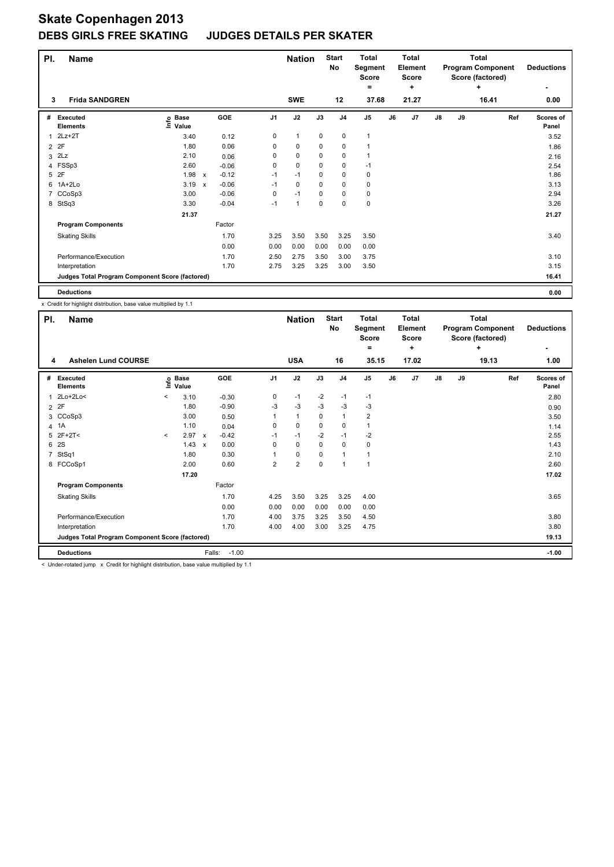| PI.            | <b>Name</b>                                     |                                  |                           |         |                | <b>Nation</b> |             | <b>Start</b><br><b>No</b> | <b>Total</b><br>Segment<br>Score<br>۰ |    | <b>Total</b><br><b>Element</b><br>Score<br>÷ |    |    | Total<br><b>Program Component</b><br>Score (factored)<br>÷ | <b>Deductions</b>         |
|----------------|-------------------------------------------------|----------------------------------|---------------------------|---------|----------------|---------------|-------------|---------------------------|---------------------------------------|----|----------------------------------------------|----|----|------------------------------------------------------------|---------------------------|
| 3              | <b>Frida SANDGREN</b>                           |                                  |                           |         |                | <b>SWE</b>    |             | 12                        | 37.68                                 |    | 21.27                                        |    |    | 16.41                                                      | 0.00                      |
| #              | <b>Executed</b><br><b>Elements</b>              | <b>Base</b><br>e Base<br>⊆ Value |                           | GOE     | J <sub>1</sub> | J2            | J3          | J <sub>4</sub>            | J <sub>5</sub>                        | J6 | J7                                           | J8 | J9 | Ref                                                        | <b>Scores of</b><br>Panel |
| 1              | $2Lz+2T$                                        | 3.40                             |                           | 0.12    | 0              | $\mathbf{1}$  | 0           | 0                         | 1                                     |    |                                              |    |    |                                                            | 3.52                      |
| $\overline{2}$ | 2F                                              | 1.80                             |                           | 0.06    | 0              | $\mathbf 0$   | 0           | $\pmb{0}$                 |                                       |    |                                              |    |    |                                                            | 1.86                      |
| 3              | 2Lz                                             | 2.10                             |                           | 0.06    | 0              | $\mathbf 0$   | $\mathbf 0$ | $\mathbf 0$               |                                       |    |                                              |    |    |                                                            | 2.16                      |
|                | 4 FSSp3                                         | 2.60                             |                           | $-0.06$ | 0              | $\mathbf 0$   | 0           | 0                         | $-1$                                  |    |                                              |    |    |                                                            | 2.54                      |
| 5              | 2F                                              | 1.98                             | $\mathsf{x}$              | $-0.12$ | $-1$           | $-1$          | 0           | $\mathbf 0$               | 0                                     |    |                                              |    |    |                                                            | 1.86                      |
| 6              | 1A+2Lo                                          | 3.19                             | $\boldsymbol{\mathsf{x}}$ | $-0.06$ | $-1$           | $\mathbf 0$   | 0           | $\mathbf 0$               | $\mathbf 0$                           |    |                                              |    |    |                                                            | 3.13                      |
| 7              | CCoSp3                                          | 3.00                             |                           | $-0.06$ | 0              | $-1$          | 0           | $\mathbf 0$               | 0                                     |    |                                              |    |    |                                                            | 2.94                      |
|                | 8 StSq3                                         | 3.30                             |                           | $-0.04$ | $-1$           | $\mathbf{1}$  | 0           | $\mathbf 0$               | $\pmb{0}$                             |    |                                              |    |    |                                                            | 3.26                      |
|                |                                                 | 21.37                            |                           |         |                |               |             |                           |                                       |    |                                              |    |    |                                                            | 21.27                     |
|                | <b>Program Components</b>                       |                                  |                           | Factor  |                |               |             |                           |                                       |    |                                              |    |    |                                                            |                           |
|                | <b>Skating Skills</b>                           |                                  |                           | 1.70    | 3.25           | 3.50          | 3.50        | 3.25                      | 3.50                                  |    |                                              |    |    |                                                            | 3.40                      |
|                |                                                 |                                  |                           | 0.00    | 0.00           | 0.00          | 0.00        | 0.00                      | 0.00                                  |    |                                              |    |    |                                                            |                           |
|                | Performance/Execution                           |                                  |                           | 1.70    | 2.50           | 2.75          | 3.50        | 3.00                      | 3.75                                  |    |                                              |    |    |                                                            | 3.10                      |
|                | Interpretation                                  |                                  |                           | 1.70    | 2.75           | 3.25          | 3.25        | 3.00                      | 3.50                                  |    |                                              |    |    |                                                            | 3.15                      |
|                | Judges Total Program Component Score (factored) |                                  |                           |         |                |               |             |                           |                                       |    |                                              |    |    |                                                            | 16.41                     |
|                | <b>Deductions</b>                               |                                  |                           |         |                |               |             |                           |                                       |    |                                              |    |    |                                                            | 0.00                      |

x Credit for highlight distribution, base value multiplied by 1.1

| PI. | <b>Name</b>                                     |         |                   |                           |            |                | <b>Nation</b>  |          | <b>Start</b><br>No       | <b>Total</b><br>Segment<br><b>Score</b> |    | <b>Total</b><br>Element<br><b>Score</b> |               |    | <b>Total</b><br><b>Program Component</b><br>Score (factored) | <b>Deductions</b>         |
|-----|-------------------------------------------------|---------|-------------------|---------------------------|------------|----------------|----------------|----------|--------------------------|-----------------------------------------|----|-----------------------------------------|---------------|----|--------------------------------------------------------------|---------------------------|
| 4   | <b>Ashelen Lund COURSE</b>                      |         |                   |                           |            |                | <b>USA</b>     |          | 16                       | =<br>35.15                              |    | ٠<br>17.02                              |               |    | ÷<br>19.13                                                   | 1.00                      |
| #   | <b>Executed</b><br><b>Elements</b>              |         | e Base<br>E Value |                           | <b>GOE</b> | J <sub>1</sub> | J2             | J3       | J <sub>4</sub>           | J <sub>5</sub>                          | J6 | J <sub>7</sub>                          | $\mathsf{J}8$ | J9 | Ref                                                          | <b>Scores of</b><br>Panel |
| 1   | 2Lo+2Lo<                                        | $\,<$   | 3.10              |                           | $-0.30$    | 0              | $-1$           | $-2$     | $-1$                     | $-1$                                    |    |                                         |               |    |                                                              | 2.80                      |
|     | 2P                                              |         | 1.80              |                           | $-0.90$    | -3             | $-3$           | -3       | -3                       | -3                                      |    |                                         |               |    |                                                              | 0.90                      |
|     | 3 CCoSp3                                        |         | 3.00              |                           | 0.50       |                | $\mathbf{1}$   | $\Omega$ | $\mathbf{1}$             | $\overline{2}$                          |    |                                         |               |    |                                                              | 3.50                      |
|     | 4 1A                                            |         | 1.10              |                           | 0.04       | 0              | $\mathbf 0$    | 0        | 0                        | $\mathbf{1}$                            |    |                                         |               |    |                                                              | 1.14                      |
|     | $5$ 2F+2T<                                      | $\,<\,$ | 2.97              | $\boldsymbol{\mathsf{x}}$ | $-0.42$    | $-1$           | $-1$           | $-2$     | $-1$                     | -2                                      |    |                                         |               |    |                                                              | 2.55                      |
| 6   | <b>2S</b>                                       |         | 1.43              | $\boldsymbol{\mathsf{x}}$ | 0.00       | $\Omega$       | $\mathbf 0$    | $\Omega$ | 0                        | 0                                       |    |                                         |               |    |                                                              | 1.43                      |
| 7   | StSq1                                           |         | 1.80              |                           | 0.30       |                | $\pmb{0}$      | 0        | -1                       |                                         |    |                                         |               |    |                                                              | 2.10                      |
|     | 8 FCCoSp1                                       |         | 2.00              |                           | 0.60       | 2              | $\overline{2}$ | 0        | $\overline{\phantom{a}}$ | 1                                       |    |                                         |               |    |                                                              | 2.60                      |
|     |                                                 |         | 17.20             |                           |            |                |                |          |                          |                                         |    |                                         |               |    |                                                              | 17.02                     |
|     | <b>Program Components</b>                       |         |                   |                           | Factor     |                |                |          |                          |                                         |    |                                         |               |    |                                                              |                           |
|     | <b>Skating Skills</b>                           |         |                   |                           | 1.70       | 4.25           | 3.50           | 3.25     | 3.25                     | 4.00                                    |    |                                         |               |    |                                                              | 3.65                      |
|     |                                                 |         |                   |                           | 0.00       | 0.00           | 0.00           | 0.00     | 0.00                     | 0.00                                    |    |                                         |               |    |                                                              |                           |
|     | Performance/Execution                           |         |                   |                           | 1.70       | 4.00           | 3.75           | 3.25     | 3.50                     | 4.50                                    |    |                                         |               |    |                                                              | 3.80                      |
|     | Interpretation                                  |         |                   |                           | 1.70       | 4.00           | 4.00           | 3.00     | 3.25                     | 4.75                                    |    |                                         |               |    |                                                              | 3.80                      |
|     | Judges Total Program Component Score (factored) |         |                   |                           |            |                |                |          |                          |                                         |    |                                         |               |    |                                                              | 19.13                     |
|     | <b>Deductions</b>                               |         |                   | Falls:                    | $-1.00$    |                |                |          |                          |                                         |    |                                         |               |    |                                                              | $-1.00$                   |

< Under-rotated jump x Credit for highlight distribution, base value multiplied by 1.1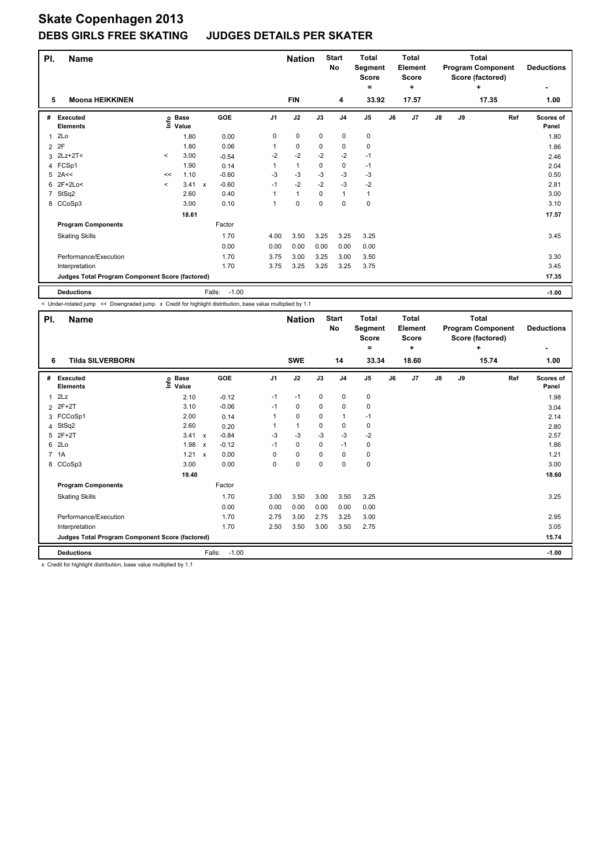| PI.            | <b>Name</b>                                     |           |                   |              |         |                | <b>Nation</b> |             | <b>Start</b><br><b>No</b> | Total<br>Segment<br>Score<br>= |    | <b>Total</b><br>Element<br>Score<br>٠ |    |    | <b>Total</b><br><b>Program Component</b><br>Score (factored)<br>٠ | <b>Deductions</b>  |
|----------------|-------------------------------------------------|-----------|-------------------|--------------|---------|----------------|---------------|-------------|---------------------------|--------------------------------|----|---------------------------------------|----|----|-------------------------------------------------------------------|--------------------|
| 5              | <b>Moona HEIKKINEN</b>                          |           |                   |              |         |                | <b>FIN</b>    |             | 4                         | 33.92                          |    | 17.57                                 |    |    | 17.35                                                             | 1.00               |
| #              | <b>Executed</b><br><b>Elements</b>              |           | e Base<br>⊆ Value |              | GOE     | J <sub>1</sub> | J2            | J3          | J <sub>4</sub>            | J <sub>5</sub>                 | J6 | J <sub>7</sub>                        | J8 | J9 | Ref                                                               | Scores of<br>Panel |
| 1              | 2Lo                                             |           | 1.80              |              | 0.00    | 0              | $\mathbf 0$   | $\mathbf 0$ | 0                         | 0                              |    |                                       |    |    |                                                                   | 1.80               |
| 2              | 2F                                              |           | 1.80              |              | 0.06    |                | 0             | 0           | 0                         | 0                              |    |                                       |    |    |                                                                   | 1.86               |
| 3              | $2Lz+2T2$                                       | $\prec$   | 3.00              |              | $-0.54$ | $-2$           | $-2$          | $-2$        | $-2$                      | $-1$                           |    |                                       |    |    |                                                                   | 2.46               |
|                | 4 FCSp1                                         |           | 1.90              |              | 0.14    |                | $\mathbf{1}$  | 0           | 0                         | $-1$                           |    |                                       |    |    |                                                                   | 2.04               |
| 5              | 2A<<                                            | <<        | 1.10              |              | $-0.60$ | $-3$           | $-3$          | $-3$        | $-3$                      | $-3$                           |    |                                       |    |    |                                                                   | 0.50               |
| 6              | $2F+2Lo<$                                       | $\hat{~}$ | 3.41              | $\mathsf{x}$ | $-0.60$ | $-1$           | $-2$          | $-2$        | $-3$                      | $-2$                           |    |                                       |    |    |                                                                   | 2.81               |
| $\overline{7}$ | StSq2                                           |           | 2.60              |              | 0.40    |                | $\mathbf{1}$  | $\mathbf 0$ | $\mathbf{1}$              | $\mathbf{1}$                   |    |                                       |    |    |                                                                   | 3.00               |
|                | 8 CCoSp3                                        |           | 3.00              |              | 0.10    |                | $\mathbf 0$   | $\mathbf 0$ | $\mathbf 0$               | 0                              |    |                                       |    |    |                                                                   | 3.10               |
|                |                                                 |           | 18.61             |              |         |                |               |             |                           |                                |    |                                       |    |    |                                                                   | 17.57              |
|                | <b>Program Components</b>                       |           |                   |              | Factor  |                |               |             |                           |                                |    |                                       |    |    |                                                                   |                    |
|                | <b>Skating Skills</b>                           |           |                   |              | 1.70    | 4.00           | 3.50          | 3.25        | 3.25                      | 3.25                           |    |                                       |    |    |                                                                   | 3.45               |
|                |                                                 |           |                   |              | 0.00    | 0.00           | 0.00          | 0.00        | 0.00                      | 0.00                           |    |                                       |    |    |                                                                   |                    |
|                | Performance/Execution                           |           |                   |              | 1.70    | 3.75           | 3.00          | 3.25        | 3.00                      | 3.50                           |    |                                       |    |    |                                                                   | 3.30               |
|                | Interpretation                                  |           |                   |              | 1.70    | 3.75           | 3.25          | 3.25        | 3.25                      | 3.75                           |    |                                       |    |    |                                                                   | 3.45               |
|                | Judges Total Program Component Score (factored) |           |                   |              |         |                |               |             |                           |                                |    |                                       |    |    |                                                                   | 17.35              |
|                | <b>Deductions</b>                               |           |                   | Falls:       | $-1.00$ |                |               |             |                           |                                |    |                                       |    |    |                                                                   | $-1.00$            |

< Under-rotated jump << Downgraded jump x Credit for highlight distribution, base value multiplied by 1.1

| PI. | <b>Name</b>                                     |                   |                           |                   |                | <b>Nation</b> |      | <b>Start</b><br>No | <b>Total</b><br>Segment<br><b>Score</b> |    | <b>Total</b><br>Element<br>Score |    |    | <b>Total</b><br><b>Program Component</b><br>Score (factored) | <b>Deductions</b>  |
|-----|-------------------------------------------------|-------------------|---------------------------|-------------------|----------------|---------------|------|--------------------|-----------------------------------------|----|----------------------------------|----|----|--------------------------------------------------------------|--------------------|
| 6   | <b>Tilda SILVERBORN</b>                         |                   |                           |                   |                | <b>SWE</b>    |      | 14                 | =<br>33.34                              |    | ٠<br>18.60                       |    |    | ٠<br>15.74                                                   | 1.00               |
| #   | <b>Executed</b><br><b>Elements</b>              | e Base<br>⊆ Value |                           | GOE               | J <sub>1</sub> | J2            | J3   | J <sub>4</sub>     | J <sub>5</sub>                          | J6 | J <sub>7</sub>                   | J8 | J9 | Ref                                                          | Scores of<br>Panel |
| 1   | 2Lz                                             | 2.10              |                           | $-0.12$           | $-1$           | $-1$          | 0    | $\mathbf 0$        | 0                                       |    |                                  |    |    |                                                              | 1.98               |
|     | 2 2F+2T                                         | 3.10              |                           | $-0.06$           | $-1$           | 0             | 0    | 0                  | 0                                       |    |                                  |    |    |                                                              | 3.04               |
|     | 3 FCCoSp1                                       | 2.00              |                           | 0.14              |                | 0             | 0    | $\mathbf{1}$       | $-1$                                    |    |                                  |    |    |                                                              | 2.14               |
|     | 4 StSq2                                         | 2.60              |                           | 0.20              |                | $\mathbf{1}$  | 0    | 0                  | 0                                       |    |                                  |    |    |                                                              | 2.80               |
|     | 5 2F+2T                                         | 3.41              | $\mathsf{x}$              | $-0.84$           | $-3$           | $-3$          | $-3$ | $-3$               | $-2$                                    |    |                                  |    |    |                                                              | 2.57               |
|     | 6 2Lo                                           | 1.98              | $\boldsymbol{\mathsf{x}}$ | $-0.12$           | $-1$           | $\mathbf 0$   | 0    | $-1$               | 0                                       |    |                                  |    |    |                                                              | 1.86               |
|     | 7 1A                                            | 1.21              | $\boldsymbol{\mathsf{x}}$ | 0.00              | 0              | $\mathbf 0$   | 0    | 0                  | 0                                       |    |                                  |    |    |                                                              | 1.21               |
|     | 8 CCoSp3                                        | 3.00              |                           | 0.00              | 0              | $\mathbf 0$   | 0    | 0                  | $\mathbf 0$                             |    |                                  |    |    |                                                              | 3.00               |
|     |                                                 | 19.40             |                           |                   |                |               |      |                    |                                         |    |                                  |    |    |                                                              | 18.60              |
|     | <b>Program Components</b>                       |                   |                           | Factor            |                |               |      |                    |                                         |    |                                  |    |    |                                                              |                    |
|     | <b>Skating Skills</b>                           |                   |                           | 1.70              | 3.00           | 3.50          | 3.00 | 3.50               | 3.25                                    |    |                                  |    |    |                                                              | 3.25               |
|     |                                                 |                   |                           | 0.00              | 0.00           | 0.00          | 0.00 | 0.00               | 0.00                                    |    |                                  |    |    |                                                              |                    |
|     | Performance/Execution                           |                   |                           | 1.70              | 2.75           | 3.00          | 2.75 | 3.25               | 3.00                                    |    |                                  |    |    |                                                              | 2.95               |
|     | Interpretation                                  |                   |                           | 1.70              | 2.50           | 3.50          | 3.00 | 3.50               | 2.75                                    |    |                                  |    |    |                                                              | 3.05               |
|     | Judges Total Program Component Score (factored) |                   |                           |                   |                |               |      |                    |                                         |    |                                  |    |    |                                                              | 15.74              |
|     | <b>Deductions</b>                               |                   |                           | $-1.00$<br>Falls: |                |               |      |                    |                                         |    |                                  |    |    |                                                              | $-1.00$            |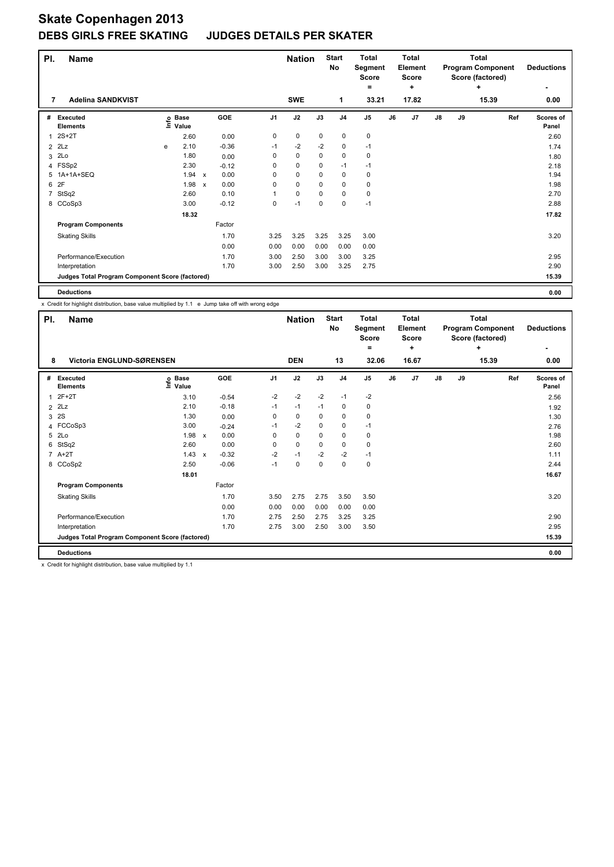| PI. | <b>Name</b>                                     |   |                                  |                           |         |                | <b>Nation</b> |             | <b>Start</b><br>No | <b>Total</b><br>Segment<br>Score<br>= |    | <b>Total</b><br>Element<br>Score<br>٠ |               |    | <b>Total</b><br><b>Program Component</b><br>Score (factored)<br>٠ | <b>Deductions</b>  |
|-----|-------------------------------------------------|---|----------------------------------|---------------------------|---------|----------------|---------------|-------------|--------------------|---------------------------------------|----|---------------------------------------|---------------|----|-------------------------------------------------------------------|--------------------|
| 7   | <b>Adelina SANDKVIST</b>                        |   |                                  |                           |         |                | <b>SWE</b>    |             | 1                  | 33.21                                 |    | 17.82                                 |               |    | 15.39                                                             | 0.00               |
| #   | Executed<br><b>Elements</b>                     |   | <b>Base</b><br>e Base<br>⊆ Value |                           | GOE     | J <sub>1</sub> | J2            | J3          | J <sub>4</sub>     | J <sub>5</sub>                        | J6 | J <sub>7</sub>                        | $\mathsf{J}8$ | J9 | Ref                                                               | Scores of<br>Panel |
| 1   | $2S+2T$                                         |   | 2.60                             |                           | 0.00    | 0              | $\mathbf 0$   | $\mathbf 0$ | $\mathbf 0$        | $\pmb{0}$                             |    |                                       |               |    |                                                                   | 2.60               |
| 2   | 2Lz                                             | e | 2.10                             |                           | $-0.36$ | $-1$           | $-2$          | $-2$        | 0                  | $-1$                                  |    |                                       |               |    |                                                                   | 1.74               |
| 3   | 2Lo                                             |   | 1.80                             |                           | 0.00    | 0              | $\mathbf 0$   | $\mathbf 0$ | $\mathbf 0$        | 0                                     |    |                                       |               |    |                                                                   | 1.80               |
|     | 4 FSSp2                                         |   | 2.30                             |                           | $-0.12$ | 0              | $\mathbf 0$   | $\mathbf 0$ | $-1$               | $-1$                                  |    |                                       |               |    |                                                                   | 2.18               |
| 5   | 1A+1A+SEQ                                       |   | 1.94                             | $\mathsf{x}$              | 0.00    | 0              | $\mathbf 0$   | 0           | $\mathbf 0$        | $\pmb{0}$                             |    |                                       |               |    |                                                                   | 1.94               |
| 6   | 2F                                              |   | 1.98                             | $\boldsymbol{\mathsf{x}}$ | 0.00    | 0              | $\mathbf 0$   | 0           | $\mathbf 0$        | $\mathbf 0$                           |    |                                       |               |    |                                                                   | 1.98               |
| 7   | StSq2                                           |   | 2.60                             |                           | 0.10    | 1              | $\pmb{0}$     | $\mathbf 0$ | $\mathbf 0$        | $\pmb{0}$                             |    |                                       |               |    |                                                                   | 2.70               |
|     | 8 CCoSp3                                        |   | 3.00                             |                           | $-0.12$ | 0              | $-1$          | 0           | $\mathbf 0$        | $-1$                                  |    |                                       |               |    |                                                                   | 2.88               |
|     |                                                 |   | 18.32                            |                           |         |                |               |             |                    |                                       |    |                                       |               |    |                                                                   | 17.82              |
|     | <b>Program Components</b>                       |   |                                  |                           | Factor  |                |               |             |                    |                                       |    |                                       |               |    |                                                                   |                    |
|     | <b>Skating Skills</b>                           |   |                                  |                           | 1.70    | 3.25           | 3.25          | 3.25        | 3.25               | 3.00                                  |    |                                       |               |    |                                                                   | 3.20               |
|     |                                                 |   |                                  |                           | 0.00    | 0.00           | 0.00          | 0.00        | 0.00               | 0.00                                  |    |                                       |               |    |                                                                   |                    |
|     | Performance/Execution                           |   |                                  |                           | 1.70    | 3.00           | 2.50          | 3.00        | 3.00               | 3.25                                  |    |                                       |               |    |                                                                   | 2.95               |
|     | Interpretation                                  |   |                                  |                           | 1.70    | 3.00           | 2.50          | 3.00        | 3.25               | 2.75                                  |    |                                       |               |    |                                                                   | 2.90               |
|     | Judges Total Program Component Score (factored) |   |                                  |                           |         |                |               |             |                    |                                       |    |                                       |               |    |                                                                   | 15.39              |
|     | <b>Deductions</b>                               |   |                                  |                           |         |                |               |             |                    |                                       |    |                                       |               |    |                                                                   | 0.00               |

x Credit for highlight distribution, base value multiplied by 1.1 e Jump take off with wrong edge

| PI. | <b>Name</b>                                     |                   |              |         |                | <b>Nation</b> |             | <b>Start</b><br>No | <b>Total</b><br>Segment<br><b>Score</b><br>۰ |    | <b>Total</b><br>Element<br><b>Score</b><br>÷ |    |    | Total<br><b>Program Component</b><br>Score (factored)<br>÷ | <b>Deductions</b>         |
|-----|-------------------------------------------------|-------------------|--------------|---------|----------------|---------------|-------------|--------------------|----------------------------------------------|----|----------------------------------------------|----|----|------------------------------------------------------------|---------------------------|
| 8   | Victoria ENGLUND-SØRENSEN                       |                   |              |         |                | <b>DEN</b>    |             | 13                 | 32.06                                        |    | 16.67                                        |    |    | 15.39                                                      | ٠<br>0.00                 |
| #   | <b>Executed</b><br><b>Elements</b>              | e Base<br>⊆ Value | GOE          |         | J <sub>1</sub> | J2            | J3          | J <sub>4</sub>     | J <sub>5</sub>                               | J6 | J7                                           | J8 | J9 | Ref                                                        | <b>Scores of</b><br>Panel |
| 1   | $2F+2T$                                         | 3.10              |              | $-0.54$ | $-2$           | $-2$          | $-2$        | $-1$               | $-2$                                         |    |                                              |    |    |                                                            | 2.56                      |
|     | $2$ $2Lz$                                       | 2.10              |              | $-0.18$ | $-1$           | $-1$          | $-1$        | 0                  | 0                                            |    |                                              |    |    |                                                            | 1.92                      |
|     | 3 2S                                            | 1.30              |              | 0.00    | 0              | 0             | 0           | 0                  | 0                                            |    |                                              |    |    |                                                            | 1.30                      |
|     | 4 FCCoSp3                                       | 3.00              |              | $-0.24$ | $-1$           | $-2$          | $\Omega$    | $\pmb{0}$          | $-1$                                         |    |                                              |    |    |                                                            | 2.76                      |
|     | 5 2Lo                                           | 1.98              | $\mathsf{x}$ | 0.00    | 0              | $\mathbf 0$   | $\mathbf 0$ | $\mathbf 0$        | $\mathbf 0$                                  |    |                                              |    |    |                                                            | 1.98                      |
| 6   | StSq2                                           | 2.60              |              | 0.00    | 0              | $\mathbf 0$   | $\mathbf 0$ | $\mathbf 0$        | $\mathbf 0$                                  |    |                                              |    |    |                                                            | 2.60                      |
|     | $7 A+2T$                                        | 1.43              | $\mathsf{x}$ | $-0.32$ | $-2$           | $-1$          | $-2$        | $-2$               | $-1$                                         |    |                                              |    |    |                                                            | 1.11                      |
|     | 8 CCoSp2                                        | 2.50              |              | $-0.06$ | $-1$           | $\mathbf 0$   | $\mathbf 0$ | $\mathbf 0$        | $\pmb{0}$                                    |    |                                              |    |    |                                                            | 2.44                      |
|     |                                                 | 18.01             |              |         |                |               |             |                    |                                              |    |                                              |    |    |                                                            | 16.67                     |
|     | <b>Program Components</b>                       |                   |              | Factor  |                |               |             |                    |                                              |    |                                              |    |    |                                                            |                           |
|     | <b>Skating Skills</b>                           |                   |              | 1.70    | 3.50           | 2.75          | 2.75        | 3.50               | 3.50                                         |    |                                              |    |    |                                                            | 3.20                      |
|     |                                                 |                   |              | 0.00    | 0.00           | 0.00          | 0.00        | 0.00               | 0.00                                         |    |                                              |    |    |                                                            |                           |
|     | Performance/Execution                           |                   |              | 1.70    | 2.75           | 2.50          | 2.75        | 3.25               | 3.25                                         |    |                                              |    |    |                                                            | 2.90                      |
|     | Interpretation                                  |                   |              | 1.70    | 2.75           | 3.00          | 2.50        | 3.00               | 3.50                                         |    |                                              |    |    |                                                            | 2.95                      |
|     | Judges Total Program Component Score (factored) |                   |              |         |                |               |             |                    |                                              |    |                                              |    |    |                                                            | 15.39                     |
|     | <b>Deductions</b>                               |                   |              |         |                |               |             |                    |                                              |    |                                              |    |    |                                                            | 0.00                      |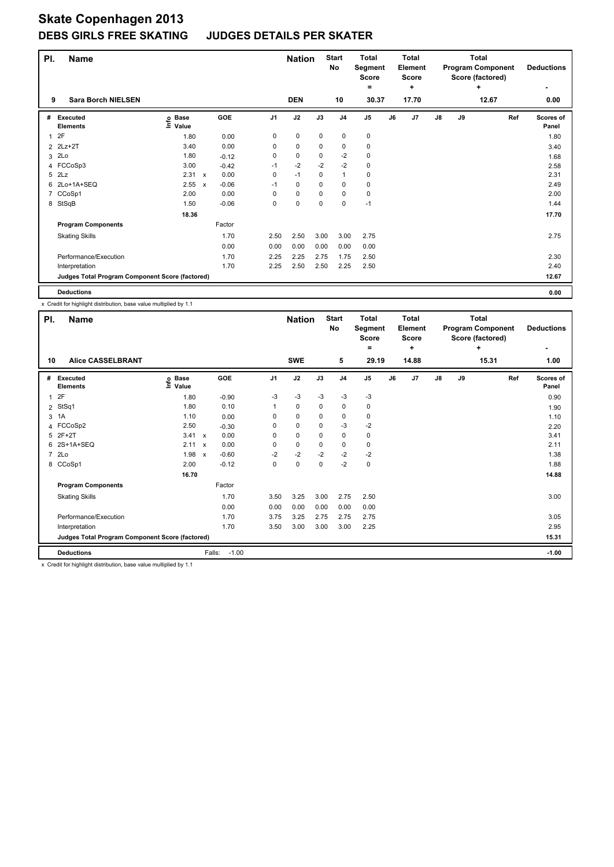| PI. | <b>Name</b>                                     |                   |                           |         |                | <b>Nation</b> |             | <b>Start</b><br><b>No</b> | <b>Total</b><br>Segment<br><b>Score</b><br>= |    | <b>Total</b><br>Element<br>Score<br>٠ |    |    | <b>Total</b><br><b>Program Component</b><br>Score (factored)<br>٠ | <b>Deductions</b>  |
|-----|-------------------------------------------------|-------------------|---------------------------|---------|----------------|---------------|-------------|---------------------------|----------------------------------------------|----|---------------------------------------|----|----|-------------------------------------------------------------------|--------------------|
| 9   | <b>Sara Borch NIELSEN</b>                       |                   |                           |         |                | <b>DEN</b>    |             | 10                        | 30.37                                        |    | 17.70                                 |    |    | 12.67                                                             | 0.00               |
| #   | Executed<br><b>Elements</b>                     | e Base<br>⊆ Value |                           | GOE     | J <sub>1</sub> | J2            | J3          | J <sub>4</sub>            | J <sub>5</sub>                               | J6 | J <sub>7</sub>                        | J8 | J9 | Ref                                                               | Scores of<br>Panel |
| 1   | 2F                                              | 1.80              |                           | 0.00    | 0              | $\mathbf 0$   | $\mathbf 0$ | 0                         | 0                                            |    |                                       |    |    |                                                                   | 1.80               |
|     | 2 2Lz+2T                                        | 3.40              |                           | 0.00    | 0              | $\mathbf 0$   | 0           | 0                         | 0                                            |    |                                       |    |    |                                                                   | 3.40               |
| 3   | 2Lo                                             | 1.80              |                           | $-0.12$ | 0              | $\mathbf 0$   | $\mathbf 0$ | $-2$                      | $\mathbf 0$                                  |    |                                       |    |    |                                                                   | 1.68               |
|     | 4 FCCoSp3                                       | 3.00              |                           | $-0.42$ | $-1$           | $-2$          | $-2$        | $-2$                      | $\mathbf 0$                                  |    |                                       |    |    |                                                                   | 2.58               |
| 5   | 2Lz                                             | 2.31              | $\mathsf{x}$              | 0.00    | 0              | $-1$          | $\mathbf 0$ | $\mathbf{1}$              | 0                                            |    |                                       |    |    |                                                                   | 2.31               |
| 6   | 2Lo+1A+SEQ                                      | 2.55              | $\boldsymbol{\mathsf{x}}$ | $-0.06$ | $-1$           | $\mathbf 0$   | $\mathbf 0$ | $\pmb{0}$                 | $\mathbf 0$                                  |    |                                       |    |    |                                                                   | 2.49               |
| 7   | CCoSp1                                          | 2.00              |                           | 0.00    | 0              | $\pmb{0}$     | $\mathbf 0$ | $\mathbf 0$               | $\pmb{0}$                                    |    |                                       |    |    |                                                                   | 2.00               |
|     | 8 StSqB                                         | 1.50              |                           | $-0.06$ | 0              | $\mathbf 0$   | $\mathbf 0$ | $\mathbf 0$               | $-1$                                         |    |                                       |    |    |                                                                   | 1.44               |
|     |                                                 | 18.36             |                           |         |                |               |             |                           |                                              |    |                                       |    |    |                                                                   | 17.70              |
|     | <b>Program Components</b>                       |                   |                           | Factor  |                |               |             |                           |                                              |    |                                       |    |    |                                                                   |                    |
|     | <b>Skating Skills</b>                           |                   |                           | 1.70    | 2.50           | 2.50          | 3.00        | 3.00                      | 2.75                                         |    |                                       |    |    |                                                                   | 2.75               |
|     |                                                 |                   |                           | 0.00    | 0.00           | 0.00          | 0.00        | 0.00                      | 0.00                                         |    |                                       |    |    |                                                                   |                    |
|     | Performance/Execution                           |                   |                           | 1.70    | 2.25           | 2.25          | 2.75        | 1.75                      | 2.50                                         |    |                                       |    |    |                                                                   | 2.30               |
|     | Interpretation                                  |                   |                           | 1.70    | 2.25           | 2.50          | 2.50        | 2.25                      | 2.50                                         |    |                                       |    |    |                                                                   | 2.40               |
|     | Judges Total Program Component Score (factored) |                   |                           |         |                |               |             |                           |                                              |    |                                       |    |    |                                                                   | 12.67              |
|     | <b>Deductions</b>                               |                   |                           |         |                |               |             |                           |                                              |    |                                       |    |    |                                                                   | 0.00               |

x Credit for highlight distribution, base value multiplied by 1.1

| PI.            | <b>Name</b>                                     |                            |                           |                |      | <b>Nation</b> |             | <b>Start</b><br>No | Total<br>Segment<br>Score<br>٠ |    | Total<br>Element<br><b>Score</b><br>٠ |               |    | Total<br><b>Program Component</b><br>Score (factored)<br>÷ | <b>Deductions</b>         |
|----------------|-------------------------------------------------|----------------------------|---------------------------|----------------|------|---------------|-------------|--------------------|--------------------------------|----|---------------------------------------|---------------|----|------------------------------------------------------------|---------------------------|
| 10             | <b>Alice CASSELBRANT</b>                        |                            |                           |                |      | <b>SWE</b>    |             | 5                  | 29.19                          |    | 14.88                                 |               |    | 15.31                                                      | 1.00                      |
| #              | Executed<br><b>Elements</b>                     | e Base<br>⊑ Value<br>Value | GOE                       | J <sub>1</sub> |      | J2            | J3          | J <sub>4</sub>     | J <sub>5</sub>                 | J6 | J7                                    | $\mathsf{J}8$ | J9 | Ref                                                        | <b>Scores of</b><br>Panel |
|                | 12F                                             | 1.80                       |                           | $-0.90$        | $-3$ | $-3$          | $-3$        | $-3$               | $-3$                           |    |                                       |               |    |                                                            | 0.90                      |
| $\overline{2}$ | StSq1                                           | 1.80                       |                           | 0.10           | 1    | $\mathbf 0$   | $\Omega$    | $\mathbf 0$        | $\mathbf 0$                    |    |                                       |               |    |                                                            | 1.90                      |
| 3              | 1A                                              | 1.10                       |                           | 0.00           | 0    | $\mathbf 0$   | 0           | 0                  | $\pmb{0}$                      |    |                                       |               |    |                                                            | 1.10                      |
|                | 4 FCCoSp2                                       | 2.50                       |                           | $-0.30$        | 0    | $\pmb{0}$     | 0           | $-3$               | $-2$                           |    |                                       |               |    |                                                            | 2.20                      |
| 5              | $2F+2T$                                         | 3.41                       | $\mathsf{x}$              | 0.00           | 0    | $\mathbf 0$   | $\Omega$    | 0                  | 0                              |    |                                       |               |    |                                                            | 3.41                      |
|                | 6 2S+1A+SEQ                                     | 2.11                       | $\boldsymbol{\mathsf{x}}$ | 0.00           | 0    | $\mathbf 0$   | 0           | 0                  | 0                              |    |                                       |               |    |                                                            | 2.11                      |
|                | 7 2Lo                                           | 1.98                       | $\boldsymbol{\mathsf{x}}$ | $-0.60$        | $-2$ | $-2$          | $-2$        | $-2$               | $-2$                           |    |                                       |               |    |                                                            | 1.38                      |
|                | 8 CCoSp1                                        | 2.00                       |                           | $-0.12$        | 0    | $\mathbf 0$   | $\mathbf 0$ | $-2$               | 0                              |    |                                       |               |    |                                                            | 1.88                      |
|                |                                                 | 16.70                      |                           |                |      |               |             |                    |                                |    |                                       |               |    |                                                            | 14.88                     |
|                | <b>Program Components</b>                       |                            | Factor                    |                |      |               |             |                    |                                |    |                                       |               |    |                                                            |                           |
|                | <b>Skating Skills</b>                           |                            |                           | 1.70           | 3.50 | 3.25          | 3.00        | 2.75               | 2.50                           |    |                                       |               |    |                                                            | 3.00                      |
|                |                                                 |                            |                           | 0.00           | 0.00 | 0.00          | 0.00        | 0.00               | 0.00                           |    |                                       |               |    |                                                            |                           |
|                | Performance/Execution                           |                            |                           | 1.70           | 3.75 | 3.25          | 2.75        | 2.75               | 2.75                           |    |                                       |               |    |                                                            | 3.05                      |
|                | Interpretation                                  |                            |                           | 1.70           | 3.50 | 3.00          | 3.00        | 3.00               | 2.25                           |    |                                       |               |    |                                                            | 2.95                      |
|                | Judges Total Program Component Score (factored) |                            |                           |                |      |               |             |                    |                                |    |                                       |               |    |                                                            | 15.31                     |
|                | <b>Deductions</b>                               |                            | Falls:                    | $-1.00$        |      |               |             |                    |                                |    |                                       |               |    |                                                            | $-1.00$                   |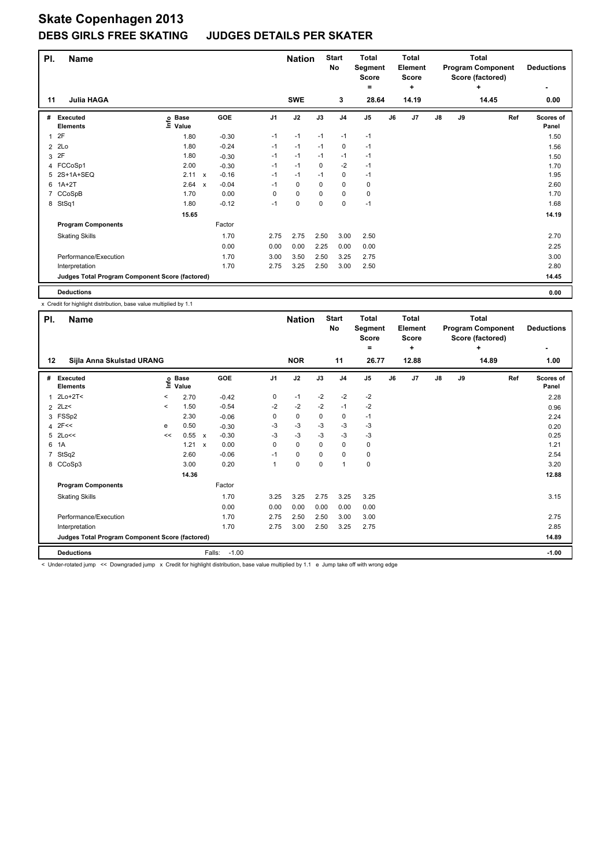| PI.            | <b>Name</b>                                     |                            |                           |            |                | <b>Nation</b> |             | <b>Start</b><br><b>No</b> | <b>Total</b><br>Segment<br><b>Score</b><br>$\equiv$ |    | <b>Total</b><br><b>Element</b><br><b>Score</b><br>÷ |               |    | <b>Total</b><br><b>Program Component</b><br>Score (factored)<br>٠ | <b>Deductions</b><br>٠ |
|----------------|-------------------------------------------------|----------------------------|---------------------------|------------|----------------|---------------|-------------|---------------------------|-----------------------------------------------------|----|-----------------------------------------------------|---------------|----|-------------------------------------------------------------------|------------------------|
| 11             | <b>Julia HAGA</b>                               |                            |                           |            |                | <b>SWE</b>    |             | 3                         | 28.64                                               |    | 14.19                                               |               |    | 14.45                                                             | 0.00                   |
| #              | <b>Executed</b><br><b>Elements</b>              | e Base<br>⊆ Value<br>Value |                           | <b>GOE</b> | J <sub>1</sub> | J2            | J3          | J <sub>4</sub>            | J <sub>5</sub>                                      | J6 | J7                                                  | $\mathsf{J}8$ | J9 | Ref                                                               | Scores of<br>Panel     |
| 1              | 2F                                              | 1.80                       |                           | $-0.30$    | $-1$           | $-1$          | $-1$        | $-1$                      | $-1$                                                |    |                                                     |               |    |                                                                   | 1.50                   |
| $\overline{2}$ | 2Lo                                             | 1.80                       |                           | $-0.24$    | $-1$           | $-1$          | $-1$        | 0                         | $-1$                                                |    |                                                     |               |    |                                                                   | 1.56                   |
| 3              | 2F                                              | 1.80                       |                           | $-0.30$    | $-1$           | $-1$          | $-1$        | $-1$                      | $-1$                                                |    |                                                     |               |    |                                                                   | 1.50                   |
|                | 4 FCCoSp1                                       | 2.00                       |                           | $-0.30$    | $-1$           | $-1$          | 0           | $-2$                      | $-1$                                                |    |                                                     |               |    |                                                                   | 1.70                   |
| 5              | 2S+1A+SEQ                                       | 2.11                       | $\boldsymbol{\mathsf{x}}$ | $-0.16$    | $-1$           | $-1$          | $-1$        | $\pmb{0}$                 | $-1$                                                |    |                                                     |               |    |                                                                   | 1.95                   |
| 6              | $1A+2T$                                         | 2.64                       | $\boldsymbol{\mathsf{x}}$ | $-0.04$    | $-1$           | 0             | 0           | $\mathbf 0$               | 0                                                   |    |                                                     |               |    |                                                                   | 2.60                   |
|                | CCoSpB                                          | 1.70                       |                           | 0.00       | 0              | 0             | 0           | 0                         | 0                                                   |    |                                                     |               |    |                                                                   | 1.70                   |
| 8              | StSq1                                           | 1.80                       |                           | $-0.12$    | $-1$           | 0             | $\mathbf 0$ | 0                         | $-1$                                                |    |                                                     |               |    |                                                                   | 1.68                   |
|                |                                                 | 15.65                      |                           |            |                |               |             |                           |                                                     |    |                                                     |               |    |                                                                   | 14.19                  |
|                | <b>Program Components</b>                       |                            |                           | Factor     |                |               |             |                           |                                                     |    |                                                     |               |    |                                                                   |                        |
|                | <b>Skating Skills</b>                           |                            |                           | 1.70       | 2.75           | 2.75          | 2.50        | 3.00                      | 2.50                                                |    |                                                     |               |    |                                                                   | 2.70                   |
|                |                                                 |                            |                           | 0.00       | 0.00           | 0.00          | 2.25        | 0.00                      | 0.00                                                |    |                                                     |               |    |                                                                   | 2.25                   |
|                | Performance/Execution                           |                            |                           | 1.70       | 3.00           | 3.50          | 2.50        | 3.25                      | 2.75                                                |    |                                                     |               |    |                                                                   | 3.00                   |
|                | Interpretation                                  |                            |                           | 1.70       | 2.75           | 3.25          | 2.50        | 3.00                      | 2.50                                                |    |                                                     |               |    |                                                                   | 2.80                   |
|                | Judges Total Program Component Score (factored) |                            |                           |            |                |               |             |                           |                                                     |    |                                                     |               |    |                                                                   | 14.45                  |
|                | <b>Deductions</b>                               |                            |                           |            |                |               |             |                           |                                                     |    |                                                     |               |    |                                                                   | 0.00                   |

x Credit for highlight distribution, base value multiplied by 1.1

| PI.         | <b>Name</b>                                     |         |                            |                      |                | <b>Nation</b> |          | <b>Start</b><br>No | <b>Total</b><br>Segment<br><b>Score</b><br>٠ |    | <b>Total</b><br>Element<br>Score<br>٠ |    |    | Total<br><b>Program Component</b><br>Score (factored)<br>٠ | <b>Deductions</b>  |
|-------------|-------------------------------------------------|---------|----------------------------|----------------------|----------------|---------------|----------|--------------------|----------------------------------------------|----|---------------------------------------|----|----|------------------------------------------------------------|--------------------|
| 12          | Sijla Anna Skulstad URANG                       |         |                            |                      |                | <b>NOR</b>    |          | 11                 | 26.77                                        |    | 12.88                                 |    |    | 14.89                                                      | 1.00               |
| #           | <b>Executed</b><br><b>Elements</b>              |         | e Base<br>⊑ Value<br>Value | GOE                  | J <sub>1</sub> | J2            | J3       | J <sub>4</sub>     | J <sub>5</sub>                               | J6 | J <sub>7</sub>                        | J8 | J9 | Ref                                                        | Scores of<br>Panel |
| 1           | $2Lo+2T<$                                       | $\,<\,$ | 2.70                       | $-0.42$              | 0              | $-1$          | $-2$     | $-2$               | $-2$                                         |    |                                       |    |    |                                                            | 2.28               |
|             | $2$ 2Lz<                                        | $\,<\,$ | 1.50                       | $-0.54$              | $-2$           | $-2$          | $-2$     | $-1$               | $-2$                                         |    |                                       |    |    |                                                            | 0.96               |
| 3           | FSSp2                                           |         | 2.30                       | $-0.06$              | 0              | $\mathbf 0$   | 0        | 0                  | $-1$                                         |    |                                       |    |    |                                                            | 2.24               |
|             | $4$ 2F<<                                        | e       | 0.50                       | $-0.30$              | -3             | $-3$          | -3       | -3                 | -3                                           |    |                                       |    |    |                                                            | 0.20               |
|             | 5 2Lo<<                                         | <<      | 0.55 x                     | $-0.30$              | $-3$           | $-3$          | $-3$     | $-3$               | $-3$                                         |    |                                       |    |    |                                                            | 0.25               |
| 6           | 1A                                              |         | 1.21                       | 0.00<br>$\mathsf{x}$ | 0              | $\mathbf 0$   | $\Omega$ | 0                  | 0                                            |    |                                       |    |    |                                                            | 1.21               |
| $7^{\circ}$ | StSq2                                           |         | 2.60                       | $-0.06$              | $-1$           | 0             | 0        | 0                  | 0                                            |    |                                       |    |    |                                                            | 2.54               |
| 8           | CCoSp3                                          |         | 3.00                       | 0.20                 | 1              | $\mathbf 0$   | 0        | $\overline{1}$     | $\pmb{0}$                                    |    |                                       |    |    |                                                            | 3.20               |
|             |                                                 |         | 14.36                      |                      |                |               |          |                    |                                              |    |                                       |    |    |                                                            | 12.88              |
|             | <b>Program Components</b>                       |         |                            | Factor               |                |               |          |                    |                                              |    |                                       |    |    |                                                            |                    |
|             | <b>Skating Skills</b>                           |         |                            | 1.70                 | 3.25           | 3.25          | 2.75     | 3.25               | 3.25                                         |    |                                       |    |    |                                                            | 3.15               |
|             |                                                 |         |                            | 0.00                 | 0.00           | 0.00          | 0.00     | 0.00               | 0.00                                         |    |                                       |    |    |                                                            |                    |
|             | Performance/Execution                           |         |                            | 1.70                 | 2.75           | 2.50          | 2.50     | 3.00               | 3.00                                         |    |                                       |    |    |                                                            | 2.75               |
|             | Interpretation                                  |         |                            | 1.70                 | 2.75           | 3.00          | 2.50     | 3.25               | 2.75                                         |    |                                       |    |    |                                                            | 2.85               |
|             | Judges Total Program Component Score (factored) |         |                            |                      |                |               |          |                    |                                              |    |                                       |    |    |                                                            | 14.89              |
|             | <b>Deductions</b>                               |         |                            | Falls:               | $-1.00$        |               |          |                    |                                              |    |                                       |    |    |                                                            | $-1.00$            |

< Under-rotated jump << Downgraded jump x Credit for highlight distribution, base value multiplied by 1.1 e Jump take off with wrong edge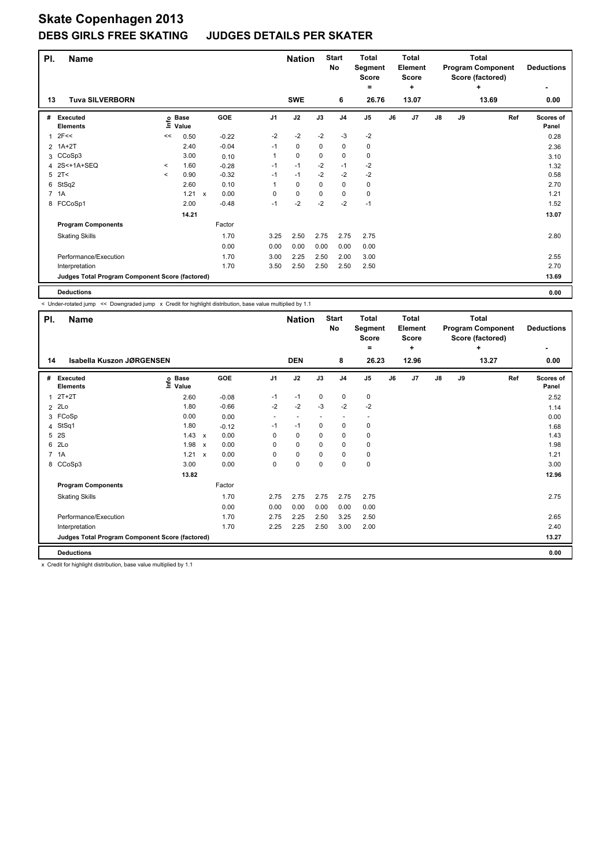| PI. | <b>Name</b>                                     |         |                      |                           |         |                | <b>Nation</b> |             | <b>Start</b><br>No | <b>Total</b><br>Score<br>= | <b>Total</b><br>Segment<br>Element<br>Score<br>٠ |                | <b>Total</b><br><b>Program Component</b><br>Score (factored)<br>٠ |    |       | <b>Deductions</b>  |
|-----|-------------------------------------------------|---------|----------------------|---------------------------|---------|----------------|---------------|-------------|--------------------|----------------------------|--------------------------------------------------|----------------|-------------------------------------------------------------------|----|-------|--------------------|
| 13  | <b>Tuva SILVERBORN</b>                          |         |                      |                           |         |                | <b>SWE</b>    |             | 6                  | 26.76                      |                                                  | 13.07          |                                                                   |    | 13.69 | 0.00               |
| #   | Executed<br><b>Elements</b>                     | ١nfo    | <b>Base</b><br>Value |                           | GOE     | J <sub>1</sub> | J2            | J3          | J <sub>4</sub>     | J <sub>5</sub>             | J6                                               | J <sub>7</sub> | J8                                                                | J9 | Ref   | Scores of<br>Panel |
| 1   | 2F<<                                            | <<      | 0.50                 |                           | $-0.22$ | $-2$           | $-2$          | $-2$        | $-3$               | $-2$                       |                                                  |                |                                                                   |    |       | 0.28               |
|     | 2 1A+2T                                         |         | 2.40                 |                           | $-0.04$ | $-1$           | 0             | 0           | $\mathbf 0$        | 0                          |                                                  |                |                                                                   |    |       | 2.36               |
| 3   | CCoSp3                                          |         | 3.00                 |                           | 0.10    | 1              | $\mathbf 0$   | $\mathbf 0$ | $\mathbf 0$        | 0                          |                                                  |                |                                                                   |    |       | 3.10               |
|     | 4 2S<+1A+SEQ                                    | $\prec$ | 1.60                 |                           | $-0.28$ | $-1$           | $-1$          | $-2$        | $-1$               | $-2$                       |                                                  |                |                                                                   |    |       | 1.32               |
| 5   | 2T<                                             | $\prec$ | 0.90                 |                           | $-0.32$ | $-1$           | $-1$          | $-2$        | $-2$               | $-2$                       |                                                  |                |                                                                   |    |       | 0.58               |
| 6   | StSq2                                           |         | 2.60                 |                           | 0.10    | 1              | $\mathbf 0$   | $\mathbf 0$ | $\mathbf 0$        | $\pmb{0}$                  |                                                  |                |                                                                   |    |       | 2.70               |
|     | 7 1A                                            |         | 1.21                 | $\boldsymbol{\mathsf{x}}$ | 0.00    | 0              | $\pmb{0}$     | $\mathbf 0$ | $\mathbf 0$        | $\pmb{0}$                  |                                                  |                |                                                                   |    |       | 1.21               |
|     | 8 FCCoSp1                                       |         | 2.00                 |                           | $-0.48$ | $-1$           | $-2$          | $-2$        | $-2$               | $-1$                       |                                                  |                |                                                                   |    |       | 1.52               |
|     |                                                 |         | 14.21                |                           |         |                |               |             |                    |                            |                                                  |                |                                                                   |    |       | 13.07              |
|     | <b>Program Components</b>                       |         |                      |                           | Factor  |                |               |             |                    |                            |                                                  |                |                                                                   |    |       |                    |
|     | <b>Skating Skills</b>                           |         |                      |                           | 1.70    | 3.25           | 2.50          | 2.75        | 2.75               | 2.75                       |                                                  |                |                                                                   |    |       | 2.80               |
|     |                                                 |         |                      |                           | 0.00    | 0.00           | 0.00          | 0.00        | 0.00               | 0.00                       |                                                  |                |                                                                   |    |       |                    |
|     | Performance/Execution                           |         |                      |                           | 1.70    | 3.00           | 2.25          | 2.50        | 2.00               | 3.00                       |                                                  |                |                                                                   |    |       | 2.55               |
|     | Interpretation                                  |         |                      |                           | 1.70    | 3.50           | 2.50          | 2.50        | 2.50               | 2.50                       |                                                  |                |                                                                   |    |       | 2.70               |
|     | Judges Total Program Component Score (factored) |         |                      |                           |         |                |               |             |                    |                            |                                                  |                |                                                                   |    |       | 13.69              |
|     | <b>Deductions</b>                               |         |                      |                           |         |                |               |             |                    |                            |                                                  |                |                                                                   |    |       | 0.00               |

|   | < Under-rotated jump << Downgraded jump x Credit for highlight distribution, base value multiplied by 1.1 |                                  |              |         |                |                             |             |                         |                                                       |    |                                                |    |    |                                                                            |                           |
|---|-----------------------------------------------------------------------------------------------------------|----------------------------------|--------------|---------|----------------|-----------------------------|-------------|-------------------------|-------------------------------------------------------|----|------------------------------------------------|----|----|----------------------------------------------------------------------------|---------------------------|
|   | <b>Name</b><br>PI.<br>Isabella Kuszon JØRGENSEN<br>14                                                     |                                  |              |         |                | <b>Nation</b><br><b>DEN</b> |             | <b>Start</b><br>No<br>8 | <b>Total</b><br>Segment<br><b>Score</b><br>٠<br>26.23 |    | Total<br>Element<br><b>Score</b><br>÷<br>12.96 |    |    | <b>Total</b><br><b>Program Component</b><br>Score (factored)<br>÷<br>13.27 | <b>Deductions</b><br>0.00 |
| # | <b>Executed</b><br><b>Elements</b>                                                                        | <b>Base</b><br>o Base<br>⊆ Value |              | GOE     | J <sub>1</sub> | J2                          | J3          | J <sub>4</sub>          | J <sub>5</sub>                                        | J6 | J7                                             | J8 | J9 | Ref                                                                        | Scores of<br>Panel        |
| 1 | $2T+2T$                                                                                                   | 2.60                             |              | $-0.08$ | $-1$           | $-1$                        | 0           | $\pmb{0}$               | 0                                                     |    |                                                |    |    |                                                                            | 2.52                      |
| 2 | 2Lo                                                                                                       | 1.80                             |              | $-0.66$ | $-2$           | $-2$                        | $-3$        | $-2$                    | $-2$                                                  |    |                                                |    |    |                                                                            | 1.14                      |
| 3 | FCoSp                                                                                                     | 0.00                             |              | 0.00    | ٠              | $\overline{\phantom{a}}$    |             | ٠                       | ٠                                                     |    |                                                |    |    |                                                                            | 0.00                      |
| 4 | StSq1                                                                                                     | 1.80                             |              | $-0.12$ | $-1$           | $-1$                        | 0           | $\pmb{0}$               | 0                                                     |    |                                                |    |    |                                                                            | 1.68                      |
| 5 | 2S                                                                                                        | 1.43                             | $\mathsf{x}$ | 0.00    | 0              | 0                           | 0           | 0                       | 0                                                     |    |                                                |    |    |                                                                            | 1.43                      |
| 6 | 2 <sub>0</sub>                                                                                            | 1.98                             | $\mathsf{x}$ | 0.00    | 0              | 0                           | 0           | 0                       | 0                                                     |    |                                                |    |    |                                                                            | 1.98                      |
|   | 7 1A                                                                                                      | 1.21                             | $\mathsf{x}$ | 0.00    | 0              | 0                           | 0           | 0                       | 0                                                     |    |                                                |    |    |                                                                            | 1.21                      |
| 8 | CCoSp3                                                                                                    | 3.00                             |              | 0.00    | 0              | $\mathbf 0$                 | $\mathbf 0$ | $\mathbf 0$             | $\mathbf 0$                                           |    |                                                |    |    |                                                                            | 3.00                      |
|   |                                                                                                           | 13.82                            |              |         |                |                             |             |                         |                                                       |    |                                                |    |    |                                                                            | 12.96                     |
|   | <b>Program Components</b>                                                                                 |                                  |              | Factor  |                |                             |             |                         |                                                       |    |                                                |    |    |                                                                            |                           |
|   | <b>Skating Skills</b>                                                                                     |                                  |              | 1.70    | 2.75           | 2.75                        | 2.75        | 2.75                    | 2.75                                                  |    |                                                |    |    |                                                                            | 2.75                      |
|   |                                                                                                           |                                  |              | 0.00    | 0.00           | 0.00                        | 0.00        | 0.00                    | 0.00                                                  |    |                                                |    |    |                                                                            |                           |
|   | Performance/Execution                                                                                     |                                  |              | 1.70    | 2.75           | 2.25                        | 2.50        | 3.25                    | 2.50                                                  |    |                                                |    |    |                                                                            | 2.65                      |
|   | Interpretation                                                                                            |                                  |              | 1.70    | 2.25           | 2.25                        | 2.50        | 3.00                    | 2.00                                                  |    |                                                |    |    |                                                                            | 2.40                      |
|   | Judges Total Program Component Score (factored)                                                           |                                  |              |         |                |                             |             |                         |                                                       |    |                                                |    |    |                                                                            | 13.27                     |
|   | <b>Deductions</b>                                                                                         |                                  |              |         |                |                             |             |                         |                                                       |    |                                                |    |    |                                                                            | 0.00                      |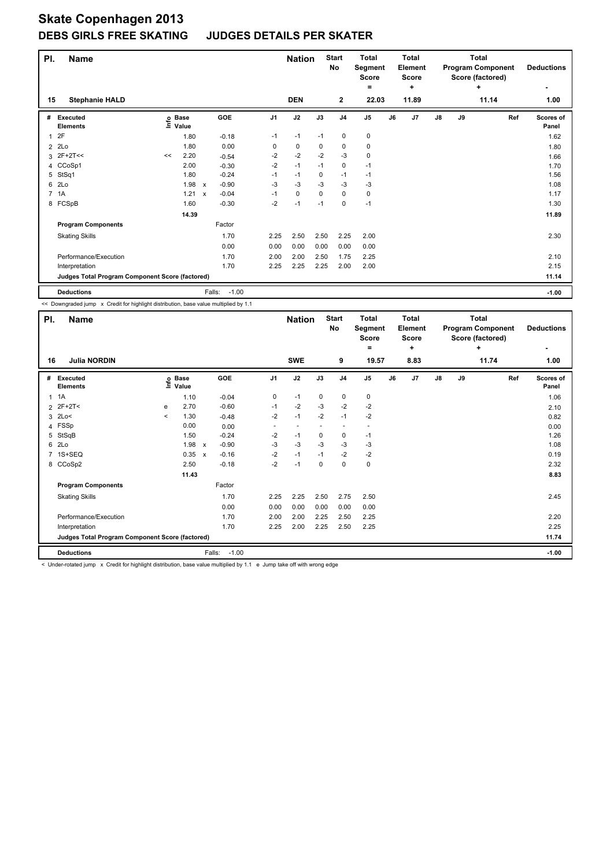| PI. | <b>Name</b>                                     |    |                   | <b>Start</b><br><b>Nation</b><br>No |                   | <b>Total</b><br>Segment<br><b>Score</b><br>۰ |            | Total<br>Element<br><b>Score</b><br>÷ |                | Total<br><b>Program Component</b><br>Score (factored) | <b>Deductions</b> |                |    |    |       |                           |
|-----|-------------------------------------------------|----|-------------------|-------------------------------------|-------------------|----------------------------------------------|------------|---------------------------------------|----------------|-------------------------------------------------------|-------------------|----------------|----|----|-------|---------------------------|
| 15  | <b>Stephanie HALD</b>                           |    |                   |                                     |                   |                                              | <b>DEN</b> |                                       | $\overline{2}$ | 22.03                                                 |                   | 11.89          |    |    | 11.14 | 1.00                      |
| #   | <b>Executed</b><br><b>Elements</b>              |    | e Base<br>⊆ Value |                                     | GOE               | J1                                           | J2         | J3                                    | J <sub>4</sub> | J <sub>5</sub>                                        | J6                | J <sub>7</sub> | J8 | J9 | Ref   | <b>Scores of</b><br>Panel |
| 1   | 2F                                              |    | 1.80              |                                     | $-0.18$           | $-1$                                         | $-1$       | $-1$                                  | 0              | 0                                                     |                   |                |    |    |       | 1.62                      |
| 2   | 2Lo                                             |    | 1.80              |                                     | 0.00              | 0                                            | 0          | 0                                     | 0              | 0                                                     |                   |                |    |    |       | 1.80                      |
| 3   | $2F+2T<<$                                       | << | 2.20              |                                     | $-0.54$           | $-2$                                         | $-2$       | $-2$                                  | $-3$           | 0                                                     |                   |                |    |    |       | 1.66                      |
|     | 4 CCoSp1                                        |    | 2.00              |                                     | $-0.30$           | $-2$                                         | $-1$       | $-1$                                  | 0              | $-1$                                                  |                   |                |    |    |       | 1.70                      |
| 5   | StSq1                                           |    | 1.80              |                                     | $-0.24$           | $-1$                                         | $-1$       | 0                                     | $-1$           | $-1$                                                  |                   |                |    |    |       | 1.56                      |
| 6   | 2Lo                                             |    | 1.98              | $\mathsf{x}$                        | $-0.90$           | $-3$                                         | $-3$       | $-3$                                  | $-3$           | $-3$                                                  |                   |                |    |    |       | 1.08                      |
|     | 7 1A                                            |    | 1.21              | $\boldsymbol{\mathsf{x}}$           | $-0.04$           | $-1$                                         | 0          | 0                                     | 0              | 0                                                     |                   |                |    |    |       | 1.17                      |
|     | 8 FCSpB                                         |    | 1.60              |                                     | $-0.30$           | $-2$                                         | $-1$       | $-1$                                  | 0              | $-1$                                                  |                   |                |    |    |       | 1.30                      |
|     |                                                 |    | 14.39             |                                     |                   |                                              |            |                                       |                |                                                       |                   |                |    |    |       | 11.89                     |
|     | <b>Program Components</b>                       |    |                   |                                     | Factor            |                                              |            |                                       |                |                                                       |                   |                |    |    |       |                           |
|     | <b>Skating Skills</b>                           |    |                   |                                     | 1.70              | 2.25                                         | 2.50       | 2.50                                  | 2.25           | 2.00                                                  |                   |                |    |    |       | 2.30                      |
|     |                                                 |    |                   |                                     | 0.00              | 0.00                                         | 0.00       | 0.00                                  | 0.00           | 0.00                                                  |                   |                |    |    |       |                           |
|     | Performance/Execution                           |    |                   |                                     | 1.70              | 2.00                                         | 2.00       | 2.50                                  | 1.75           | 2.25                                                  |                   |                |    |    |       | 2.10                      |
|     | Interpretation                                  |    |                   |                                     | 1.70              | 2.25                                         | 2.25       | 2.25                                  | 2.00           | 2.00                                                  |                   |                |    |    |       | 2.15                      |
|     | Judges Total Program Component Score (factored) |    |                   |                                     |                   |                                              |            |                                       |                |                                                       |                   |                |    |    |       | 11.14                     |
|     | <b>Deductions</b>                               |    |                   |                                     | $-1.00$<br>Falls: |                                              |            |                                       |                |                                                       |                   |                |    |    |       | $-1.00$                   |

<< Downgraded jump x Credit for highlight distribution, base value multiplied by 1.1

| PI. | <b>Name</b>                                            |              |                   |                           | <b>Nation</b> |                | <b>Start</b><br>No       | <b>Total</b><br>Segment<br>Score<br>۰ |                | <b>Total</b><br>Element<br><b>Score</b><br>٠ |    | Total<br><b>Program Component</b><br>Score (factored) | <b>Deductions</b><br>٠ |    |       |                           |
|-----|--------------------------------------------------------|--------------|-------------------|---------------------------|---------------|----------------|--------------------------|---------------------------------------|----------------|----------------------------------------------|----|-------------------------------------------------------|------------------------|----|-------|---------------------------|
| 16  | <b>Julia NORDIN</b>                                    |              |                   |                           |               |                | <b>SWE</b>               |                                       | 9              | 19.57                                        |    | 8.83                                                  |                        |    | 11.74 | 1.00                      |
| #   | <b>Executed</b><br><b>Elements</b>                     |              | e Base<br>⊆ Value |                           | <b>GOE</b>    | J <sub>1</sub> | J2                       | J3                                    | J <sub>4</sub> | $\mathsf{J}5$                                | J6 | J7                                                    | $\mathsf{J}8$          | J9 | Ref   | <b>Scores of</b><br>Panel |
| 1   | 1A                                                     |              | 1.10              |                           | $-0.04$       | 0              | $-1$                     | 0                                     | 0              | 0                                            |    |                                                       |                        |    |       | 1.06                      |
|     | 2 2F+2T<                                               | e            | 2.70              |                           | $-0.60$       | $-1$           | $-2$                     | $-3$                                  | $-2$           | $-2$                                         |    |                                                       |                        |    |       | 2.10                      |
|     | $3$ 2Lo<                                               | $\checkmark$ | 1.30              |                           | $-0.48$       | $-2$           | $-1$                     | $-2$                                  | $-1$           | $-2$                                         |    |                                                       |                        |    |       | 0.82                      |
|     | 4 FSSp                                                 |              | 0.00              |                           | 0.00          | ٠              | $\overline{\phantom{a}}$ |                                       | ٠              | ٠                                            |    |                                                       |                        |    |       | 0.00                      |
| 5   | StSqB                                                  |              | 1.50              |                           | $-0.24$       | $-2$           | $-1$                     | 0                                     | 0              | $-1$                                         |    |                                                       |                        |    |       | 1.26                      |
|     | 6 2Lo                                                  |              | 1.98              | $\boldsymbol{\mathsf{x}}$ | $-0.90$       | -3             | $-3$                     | -3                                    | -3             | -3                                           |    |                                                       |                        |    |       | 1.08                      |
|     | 7 1S+SEQ                                               |              | 0.35              | $\boldsymbol{\mathsf{x}}$ | $-0.16$       | $-2$           | $-1$                     | $-1$                                  | $-2$           | $-2$                                         |    |                                                       |                        |    |       | 0.19                      |
|     | 8 CCoSp2                                               |              | 2.50              |                           | $-0.18$       | $-2$           | $-1$                     | 0                                     | 0              | $\mathbf 0$                                  |    |                                                       |                        |    |       | 2.32                      |
|     |                                                        |              | 11.43             |                           |               |                |                          |                                       |                |                                              |    |                                                       |                        |    |       | 8.83                      |
|     | <b>Program Components</b>                              |              |                   |                           | Factor        |                |                          |                                       |                |                                              |    |                                                       |                        |    |       |                           |
|     | <b>Skating Skills</b>                                  |              |                   |                           | 1.70          | 2.25           | 2.25                     | 2.50                                  | 2.75           | 2.50                                         |    |                                                       |                        |    |       | 2.45                      |
|     |                                                        |              |                   |                           | 0.00          | 0.00           | 0.00                     | 0.00                                  | 0.00           | 0.00                                         |    |                                                       |                        |    |       |                           |
|     | Performance/Execution                                  |              |                   |                           | 1.70          | 2.00           | 2.00                     | 2.25                                  | 2.50           | 2.25                                         |    |                                                       |                        |    |       | 2.20                      |
|     | Interpretation                                         |              |                   |                           | 1.70          | 2.25           | 2.00                     | 2.25                                  | 2.50           | 2.25                                         |    |                                                       |                        |    |       | 2.25                      |
|     | <b>Judges Total Program Component Score (factored)</b> |              |                   |                           |               |                |                          |                                       |                |                                              |    |                                                       |                        |    |       | 11.74                     |
|     | <b>Deductions</b>                                      |              |                   | Falls:                    | $-1.00$       |                |                          |                                       |                |                                              |    |                                                       |                        |    |       | $-1.00$                   |

< Under-rotated jump x Credit for highlight distribution, base value multiplied by 1.1 e Jump take off with wrong edge